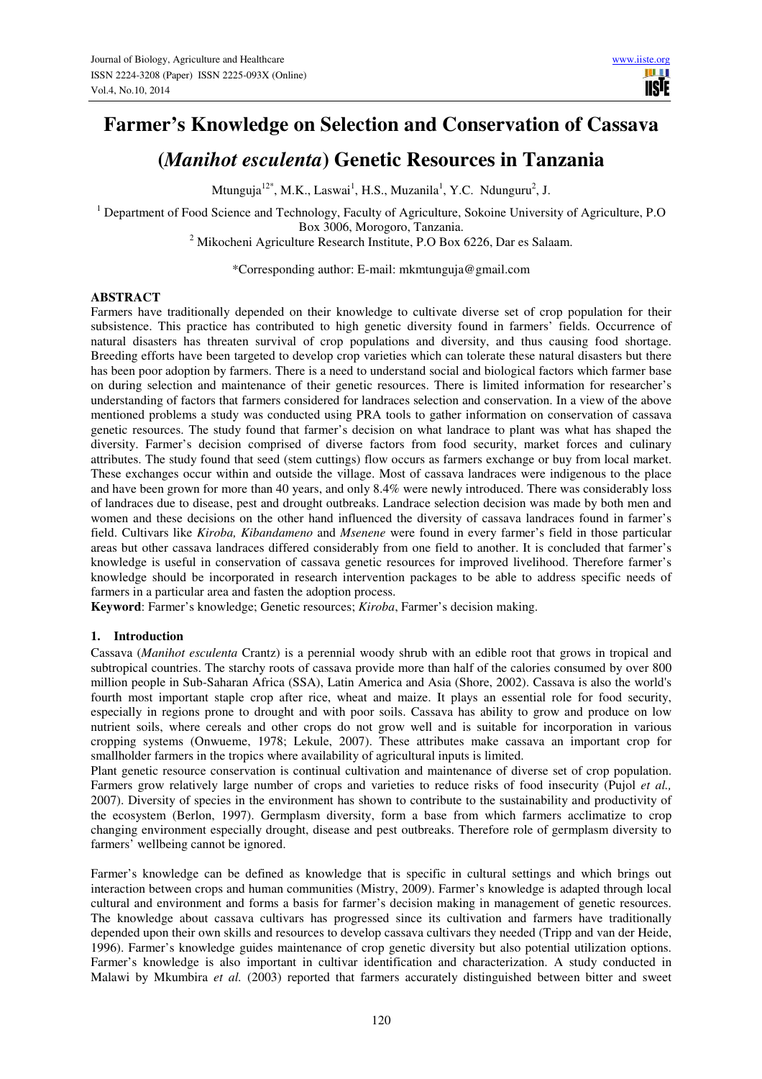# **Farmer's Knowledge on Selection and Conservation of Cassava**

# **(***Manihot esculenta***) Genetic Resources in Tanzania**

Mtunguja<sup>12\*</sup>, M.K., Laswai<sup>1</sup>, H.S., Muzanila<sup>1</sup>, Y.C. Ndunguru<sup>2</sup>, J.

<sup>1</sup> Department of Food Science and Technology, Faculty of Agriculture, Sokoine University of Agriculture, P.O Box 3006, Morogoro, Tanzania.

<sup>2</sup> Mikocheni Agriculture Research Institute, P.O Box 6226, Dar es Salaam.

\*Corresponding author: E-mail: mkmtunguja@gmail.com

#### **ABSTRACT**

Farmers have traditionally depended on their knowledge to cultivate diverse set of crop population for their subsistence. This practice has contributed to high genetic diversity found in farmers' fields. Occurrence of natural disasters has threaten survival of crop populations and diversity, and thus causing food shortage. Breeding efforts have been targeted to develop crop varieties which can tolerate these natural disasters but there has been poor adoption by farmers. There is a need to understand social and biological factors which farmer base on during selection and maintenance of their genetic resources. There is limited information for researcher's understanding of factors that farmers considered for landraces selection and conservation. In a view of the above mentioned problems a study was conducted using PRA tools to gather information on conservation of cassava genetic resources. The study found that farmer's decision on what landrace to plant was what has shaped the diversity. Farmer's decision comprised of diverse factors from food security, market forces and culinary attributes. The study found that seed (stem cuttings) flow occurs as farmers exchange or buy from local market. These exchanges occur within and outside the village. Most of cassava landraces were indigenous to the place and have been grown for more than 40 years, and only 8.4% were newly introduced. There was considerably loss of landraces due to disease, pest and drought outbreaks. Landrace selection decision was made by both men and women and these decisions on the other hand influenced the diversity of cassava landraces found in farmer's field. Cultivars like *Kiroba, Kibandameno* and *Msenene* were found in every farmer's field in those particular areas but other cassava landraces differed considerably from one field to another. It is concluded that farmer's knowledge is useful in conservation of cassava genetic resources for improved livelihood. Therefore farmer's knowledge should be incorporated in research intervention packages to be able to address specific needs of farmers in a particular area and fasten the adoption process.

**Keyword**: Farmer's knowledge; Genetic resources; *Kiroba*, Farmer's decision making.

#### **1. Introduction**

Cassava (*Manihot esculenta* Crantz) is a perennial woody shrub with an edible root that grows in tropical and subtropical countries. The starchy roots of cassava provide more than half of the calories consumed by over 800 million people in Sub-Saharan Africa (SSA), Latin America and Asia (Shore, 2002). Cassava is also the world's fourth most important staple crop after rice, wheat and maize. It plays an essential role for food security, especially in regions prone to drought and with poor soils. Cassava has ability to grow and produce on low nutrient soils, where cereals and other crops do not grow well and is suitable for incorporation in various cropping systems (Onwueme, 1978; Lekule, 2007). These attributes make cassava an important crop for smallholder farmers in the tropics where availability of agricultural inputs is limited.

Plant genetic resource conservation is continual cultivation and maintenance of diverse set of crop population. Farmers grow relatively large number of crops and varieties to reduce risks of food insecurity (Pujol *et al.,* 2007). Diversity of species in the environment has shown to contribute to the sustainability and productivity of the ecosystem (Berlon, 1997). Germplasm diversity, form a base from which farmers acclimatize to crop changing environment especially drought, disease and pest outbreaks. Therefore role of germplasm diversity to farmers' wellbeing cannot be ignored.

Farmer's knowledge can be defined as knowledge that is specific in cultural settings and which brings out interaction between crops and human communities (Mistry, 2009). Farmer's knowledge is adapted through local cultural and environment and forms a basis for farmer's decision making in management of genetic resources. The knowledge about cassava cultivars has progressed since its cultivation and farmers have traditionally depended upon their own skills and resources to develop cassava cultivars they needed (Tripp and van der Heide, 1996). Farmer's knowledge guides maintenance of crop genetic diversity but also potential utilization options. Farmer's knowledge is also important in cultivar identification and characterization. A study conducted in Malawi by Mkumbira *et al.* (2003) reported that farmers accurately distinguished between bitter and sweet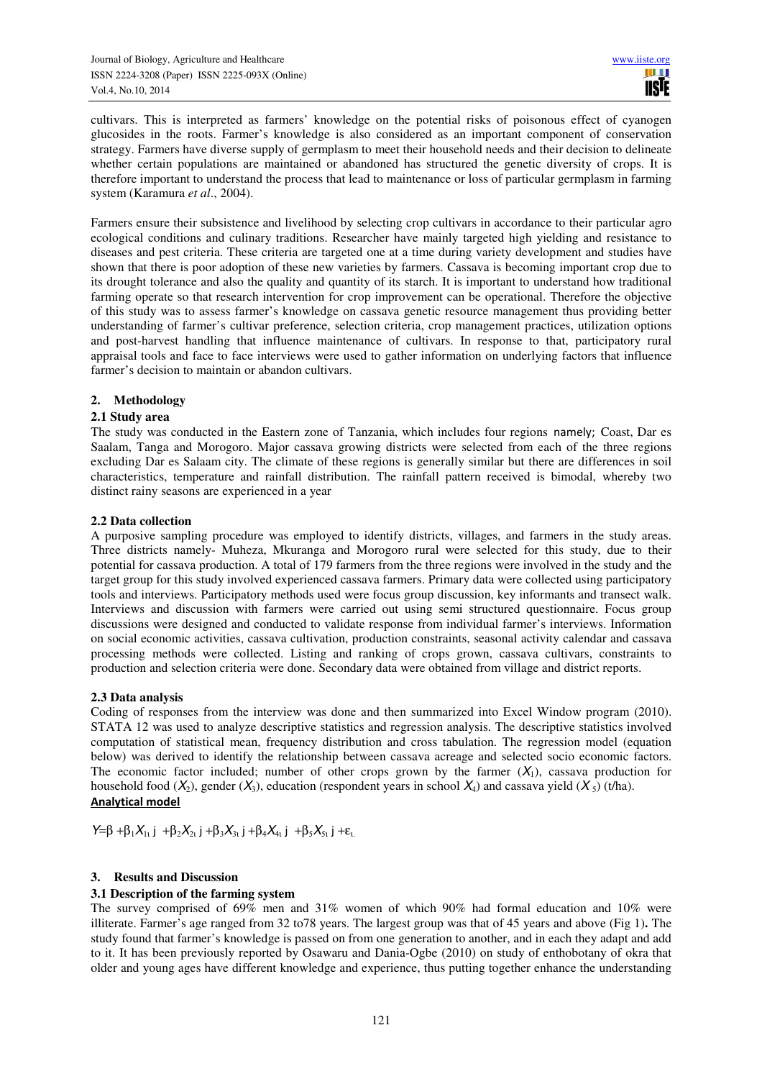cultivars. This is interpreted as farmers' knowledge on the potential risks of poisonous effect of cyanogen glucosides in the roots. Farmer's knowledge is also considered as an important component of conservation strategy. Farmers have diverse supply of germplasm to meet their household needs and their decision to delineate whether certain populations are maintained or abandoned has structured the genetic diversity of crops. It is therefore important to understand the process that lead to maintenance or loss of particular germplasm in farming system (Karamura *et al*., 2004).

Farmers ensure their subsistence and livelihood by selecting crop cultivars in accordance to their particular agro ecological conditions and culinary traditions. Researcher have mainly targeted high yielding and resistance to diseases and pest criteria. These criteria are targeted one at a time during variety development and studies have shown that there is poor adoption of these new varieties by farmers. Cassava is becoming important crop due to its drought tolerance and also the quality and quantity of its starch. It is important to understand how traditional farming operate so that research intervention for crop improvement can be operational. Therefore the objective of this study was to assess farmer's knowledge on cassava genetic resource management thus providing better understanding of farmer's cultivar preference, selection criteria, crop management practices, utilization options and post-harvest handling that influence maintenance of cultivars. In response to that, participatory rural appraisal tools and face to face interviews were used to gather information on underlying factors that influence farmer's decision to maintain or abandon cultivars.

### **2. Methodology**

### **2.1 Study area**

The study was conducted in the Eastern zone of Tanzania, which includes four regions namely; Coast, Dar es Saalam, Tanga and Morogoro. Major cassava growing districts were selected from each of the three regions excluding Dar es Salaam city. The climate of these regions is generally similar but there are differences in soil characteristics, temperature and rainfall distribution. The rainfall pattern received is bimodal, whereby two distinct rainy seasons are experienced in a year

#### **2.2 Data collection**

A purposive sampling procedure was employed to identify districts, villages, and farmers in the study areas. Three districts namely- Muheza, Mkuranga and Morogoro rural were selected for this study, due to their potential for cassava production. A total of 179 farmers from the three regions were involved in the study and the target group for this study involved experienced cassava farmers. Primary data were collected using participatory tools and interviews. Participatory methods used were focus group discussion, key informants and transect walk. Interviews and discussion with farmers were carried out using semi structured questionnaire. Focus group discussions were designed and conducted to validate response from individual farmer's interviews. Information on social economic activities, cassava cultivation, production constraints, seasonal activity calendar and cassava processing methods were collected. Listing and ranking of crops grown, cassava cultivars, constraints to production and selection criteria were done. Secondary data were obtained from village and district reports.

#### **2.3 Data analysis**

Coding of responses from the interview was done and then summarized into Excel Window program (2010). STATA 12 was used to analyze descriptive statistics and regression analysis. The descriptive statistics involved computation of statistical mean, frequency distribution and cross tabulation. The regression model (equation below) was derived to identify the relationship between cassava acreage and selected socio economic factors. The economic factor included; number of other crops grown by the farmer  $(X_1)$ , cassava production for household food  $(X_2)$ , gender  $(X_3)$ , education (respondent years in school  $X_4$ ) and cassava yield  $(X_5)$  (t/ha). **Analytical model** 

Y=β +β<sub>1</sub>X<sub>1</sub>, j +β<sub>2</sub>X<sub>2</sub>, j +β<sub>3</sub>X<sub>3</sub>, j +β<sub>4</sub>X<sub>4</sub>, j +β<sub>5</sub>X<sub>5</sub>, j +ε<sub>1</sub>.

# **3. Results and Discussion**

#### **3.1 Description of the farming system**

The survey comprised of 69% men and 31% women of which 90% had formal education and 10% were illiterate. Farmer's age ranged from 32 to78 years. The largest group was that of 45 years and above (Fig 1)**.** The study found that farmer's knowledge is passed on from one generation to another, and in each they adapt and add to it. It has been previously reported by Osawaru and Dania-Ogbe (2010) on study of enthobotany of okra that older and young ages have different knowledge and experience, thus putting together enhance the understanding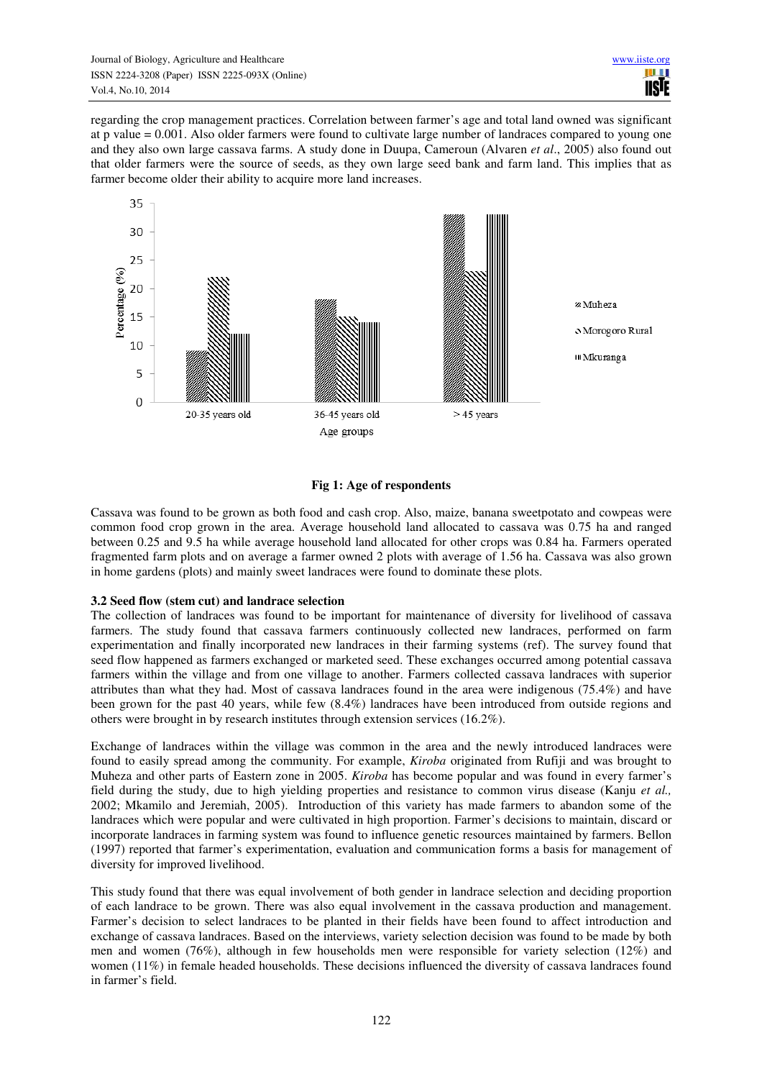regarding the crop management practices. Correlation between farmer's age and total land owned was significant at p value = 0.001. Also older farmers were found to cultivate large number of landraces compared to young one and they also own large cassava farms. A study done in Duupa, Cameroun (Alvaren *et al*., 2005) also found out that older farmers were the source of seeds, as they own large seed bank and farm land. This implies that as farmer become older their ability to acquire more land increases.



# **Fig 1: Age of respondents**

Cassava was found to be grown as both food and cash crop. Also, maize, banana sweetpotato and cowpeas were common food crop grown in the area. Average household land allocated to cassava was 0.75 ha and ranged between 0.25 and 9.5 ha while average household land allocated for other crops was 0.84 ha. Farmers operated fragmented farm plots and on average a farmer owned 2 plots with average of 1.56 ha. Cassava was also grown in home gardens (plots) and mainly sweet landraces were found to dominate these plots.

#### **3.2 Seed flow (stem cut) and landrace selection**

The collection of landraces was found to be important for maintenance of diversity for livelihood of cassava farmers. The study found that cassava farmers continuously collected new landraces, performed on farm experimentation and finally incorporated new landraces in their farming systems (ref). The survey found that seed flow happened as farmers exchanged or marketed seed. These exchanges occurred among potential cassava farmers within the village and from one village to another. Farmers collected cassava landraces with superior attributes than what they had. Most of cassava landraces found in the area were indigenous (75.4%) and have been grown for the past 40 years, while few (8.4%) landraces have been introduced from outside regions and others were brought in by research institutes through extension services (16.2%).

Exchange of landraces within the village was common in the area and the newly introduced landraces were found to easily spread among the community. For example, *Kiroba* originated from Rufiji and was brought to Muheza and other parts of Eastern zone in 2005. *Kiroba* has become popular and was found in every farmer's field during the study, due to high yielding properties and resistance to common virus disease (Kanju *et al.,*  2002; Mkamilo and Jeremiah, 2005). Introduction of this variety has made farmers to abandon some of the landraces which were popular and were cultivated in high proportion. Farmer's decisions to maintain, discard or incorporate landraces in farming system was found to influence genetic resources maintained by farmers. Bellon (1997) reported that farmer's experimentation, evaluation and communication forms a basis for management of diversity for improved livelihood.

This study found that there was equal involvement of both gender in landrace selection and deciding proportion of each landrace to be grown. There was also equal involvement in the cassava production and management. Farmer's decision to select landraces to be planted in their fields have been found to affect introduction and exchange of cassava landraces. Based on the interviews, variety selection decision was found to be made by both men and women (76%), although in few households men were responsible for variety selection (12%) and women (11%) in female headed households. These decisions influenced the diversity of cassava landraces found in farmer's field.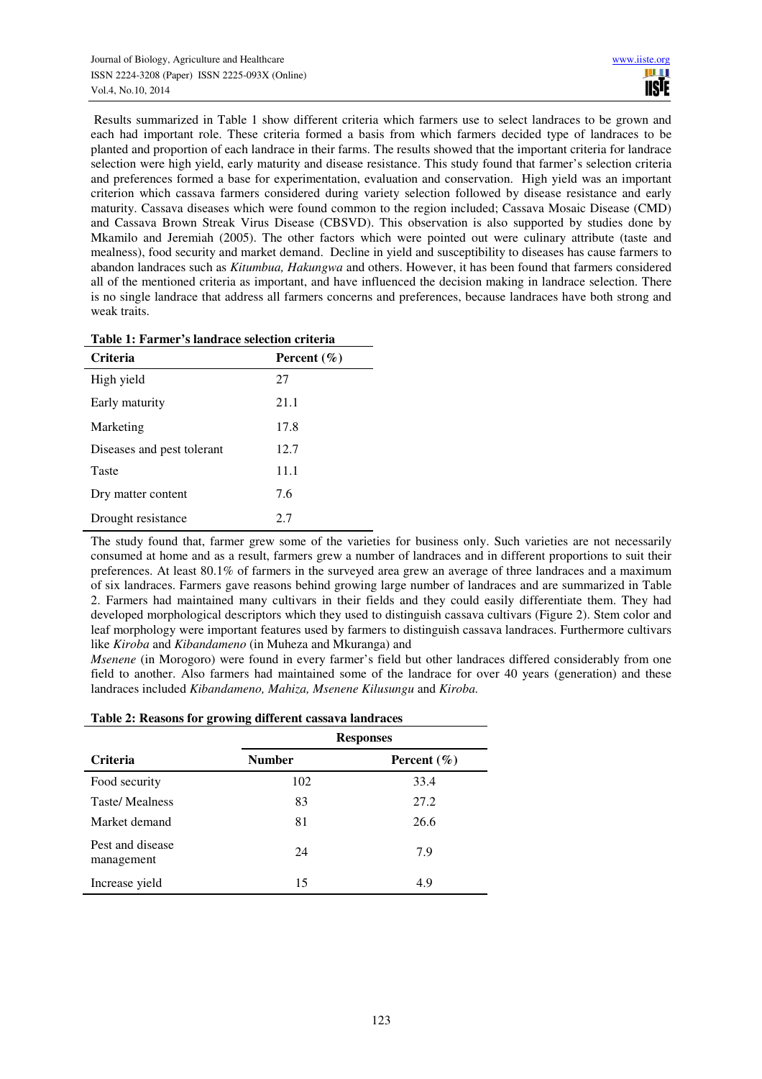Results summarized in Table 1 show different criteria which farmers use to select landraces to be grown and each had important role. These criteria formed a basis from which farmers decided type of landraces to be planted and proportion of each landrace in their farms. The results showed that the important criteria for landrace selection were high yield, early maturity and disease resistance. This study found that farmer's selection criteria and preferences formed a base for experimentation, evaluation and conservation. High yield was an important criterion which cassava farmers considered during variety selection followed by disease resistance and early maturity. Cassava diseases which were found common to the region included; Cassava Mosaic Disease (CMD) and Cassava Brown Streak Virus Disease (CBSVD). This observation is also supported by studies done by Mkamilo and Jeremiah (2005). The other factors which were pointed out were culinary attribute (taste and mealness), food security and market demand. Decline in yield and susceptibility to diseases has cause farmers to abandon landraces such as *Kitumbua, Hakungwa* and others. However, it has been found that farmers considered all of the mentioned criteria as important, and have influenced the decision making in landrace selection. There is no single landrace that address all farmers concerns and preferences, because landraces have both strong and weak traits.

| <b>Criteria</b>            | Percent $(\% )$ |
|----------------------------|-----------------|
| High yield                 | 27              |
| Early maturity             | 21.1            |
| Marketing                  | 17.8            |
| Diseases and pest tolerant | 12.7            |
| Taste                      | 11.1            |
| Dry matter content         | 7.6             |
| Drought resistance         | 2.7             |

The study found that, farmer grew some of the varieties for business only. Such varieties are not necessarily consumed at home and as a result, farmers grew a number of landraces and in different proportions to suit their preferences. At least 80.1% of farmers in the surveyed area grew an average of three landraces and a maximum of six landraces. Farmers gave reasons behind growing large number of landraces and are summarized in Table 2. Farmers had maintained many cultivars in their fields and they could easily differentiate them. They had developed morphological descriptors which they used to distinguish cassava cultivars (Figure 2). Stem color and leaf morphology were important features used by farmers to distinguish cassava landraces. Furthermore cultivars like *Kiroba* and *Kibandameno* (in Muheza and Mkuranga) and

*Msenene* (in Morogoro) were found in every farmer's field but other landraces differed considerably from one field to another. Also farmers had maintained some of the landrace for over 40 years (generation) and these landraces included *Kibandameno, Mahiza, Msenene Kilusungu* and *Kiroba.*

#### **Table 2: Reasons for growing different cassava landraces**

|                                | <b>Responses</b> |                 |  |
|--------------------------------|------------------|-----------------|--|
| <b>Criteria</b>                | <b>Number</b>    | Percent $(\% )$ |  |
| Food security                  | 102              | 33.4            |  |
| <b>Taste/Mealness</b>          | 83               | 27.2            |  |
| Market demand                  | 81               | 26.6            |  |
| Pest and disease<br>management | 24               | 7.9             |  |
| Increase yield                 | 15               | 4.9             |  |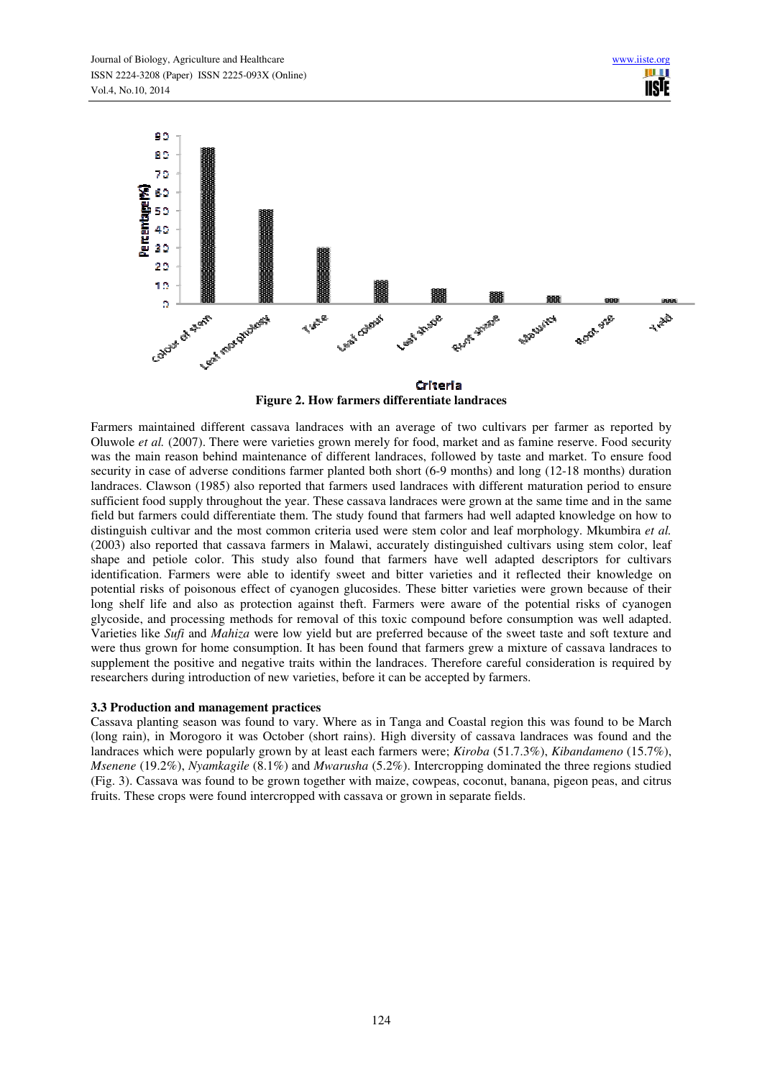

**Figure 2. How farmers differentiate landraces** 

Farmers maintained different cassava landraces with an average of two cultivars per farmer as reported by Oluwole *et al.* (2007). There were varieties grown merely for food, market and as famine reserve. Food security was the main reason behind maintenance of different landraces, followed by taste and market. To ensure food security in case of adverse conditions farmer planted both short (6-9 months) and long (12-18 months) duration landraces. Clawson (1985) also reported that farmers used landraces with different maturation period to ensure sufficient food supply throughout the year. These cassava landraces were grown at the same time and in the same field but farmers could differentiate them. The study found that farmers had well adapted knowledge on how to distinguish cultivar and the most common criteria used were stem color and leaf morphology. Mkumbira *et al.* (2003) also reported that cassava farmers in Malawi, accurately distinguished cultivars using stem color, leaf shape and petiole color. This study also found that farmers have well adapted descriptors for cultivars identification. Farmers were able to identify sweet and bitter varieties and it reflected their knowledge on potential risks of poisonous effect of cyanogen glucosides. These bitter varieties were grown because of their long shelf life and also as protection against theft. Farmers were aware of the potential risks of cyanogen glycoside, and processing methods for removal of this toxic compound before consumption was well adapted. Varieties like *Sufi* and *Mahiza* were low yield but are preferred because of the sweet taste and soft texture and were thus grown for home consumption. It has been found that farmers grew a mixture of cassava landraces to supplement the positive and negative traits within the landraces. Therefore careful consideration is required by researchers during introduction of new varieties, before it can be accepted by farmers.

#### **3.3 Production and management practices**

Cassava planting season was found to vary. Where as in Tanga and Coastal region this was found to be March (long rain), in Morogoro it was October (short rains). High diversity of cassava landraces was found and the landraces which were popularly grown by at least each farmers were; *Kiroba* (51.7.3%), *Kibandameno* (15.7%), *Msenene* (19.2%), *Nyamkagile* (8.1%) and *Mwarusha* (5.2%). Intercropping dominated the three regions studied (Fig. 3). Cassava was found to be grown together with maize, cowpeas, coconut, banana, pigeon peas, and citrus fruits. These crops were found intercropped with cassava or grown in separate fields.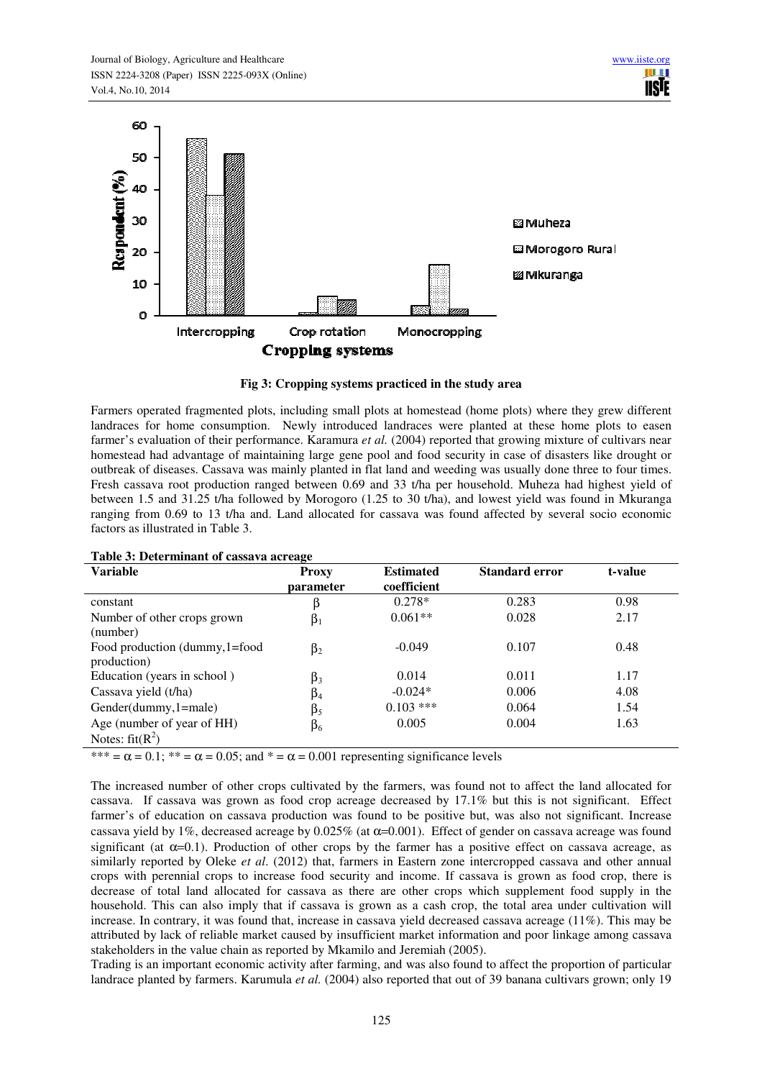

#### **Fig 3: Cropping systems practiced in the study area**

Farmers operated fragmented plots, including small plots at homestead (home plots) where they grew different landraces for home consumption. Newly introduced landraces were planted at these home plots to easen farmer's evaluation of their performance. Karamura *et al.* (2004) reported that growing mixture of cultivars near homestead had advantage of maintaining large gene pool and food security in case of disasters like drought or outbreak of diseases. Cassava was mainly planted in flat land and weeding was usually done three to four times. Fresh cassava root production ranged between 0.69 and 33 t/ha per household. Muheza had highest yield of between 1.5 and 31.25 t/ha followed by Morogoro (1.25 to 30 t/ha), and lowest yield was found in Mkuranga ranging from 0.69 to 13 t/ha and. Land allocated for cassava was found affected by several socio economic factors as illustrated in Table 3.

| Table 5. Determinant of cassava acreage         |                    |                                 |                       |         |
|-------------------------------------------------|--------------------|---------------------------------|-----------------------|---------|
| <b>Variable</b>                                 | Proxy<br>parameter | <b>Estimated</b><br>coefficient | <b>Standard error</b> | t-value |
| constant                                        | β                  | $0.278*$                        | 0.283                 | 0.98    |
| Number of other crops grown<br>(number)         | $\beta_1$          | $0.061**$                       | 0.028                 | 2.17    |
| Food production (dummy, 1=food<br>production)   | $\beta_2$          | $-0.049$                        | 0.107                 | 0.48    |
| Education (years in school)                     | $\beta_3$          | 0.014                           | 0.011                 | 1.17    |
| Cassava yield (t/ha)                            | $\beta_4$          | $-0.024*$                       | 0.006                 | 4.08    |
| Gender(dummy, 1=male)                           | $\beta_5$          | $0.103$ ***                     | 0.064                 | 1.54    |
| Age (number of year of HH)<br>Notes: $fit(R^2)$ | $\beta_6$          | 0.005                           | 0.004                 | 1.63    |

#### **Table 3: Determinant of cassava acreage**

\*\*\* =  $\alpha$  = 0.1; \*\* =  $\alpha$  = 0.05; and \* =  $\alpha$  = 0.001 representing significance levels

The increased number of other crops cultivated by the farmers, was found not to affect the land allocated for cassava. If cassava was grown as food crop acreage decreased by 17.1% but this is not significant. Effect farmer's of education on cassava production was found to be positive but, was also not significant. Increase cassava yield by 1%, decreased acreage by 0.025% (at  $\alpha$ =0.001). Effect of gender on cassava acreage was found significant (at  $\alpha=0.1$ ). Production of other crops by the farmer has a positive effect on cassava acreage, as similarly reported by Oleke *et al*. (2012) that, farmers in Eastern zone intercropped cassava and other annual crops with perennial crops to increase food security and income. If cassava is grown as food crop, there is decrease of total land allocated for cassava as there are other crops which supplement food supply in the household. This can also imply that if cassava is grown as a cash crop, the total area under cultivation will increase. In contrary, it was found that, increase in cassava yield decreased cassava acreage (11%). This may be attributed by lack of reliable market caused by insufficient market information and poor linkage among cassava stakeholders in the value chain as reported by Mkamilo and Jeremiah (2005).

Trading is an important economic activity after farming, and was also found to affect the proportion of particular landrace planted by farmers. Karumula *et al.* (2004) also reported that out of 39 banana cultivars grown; only 19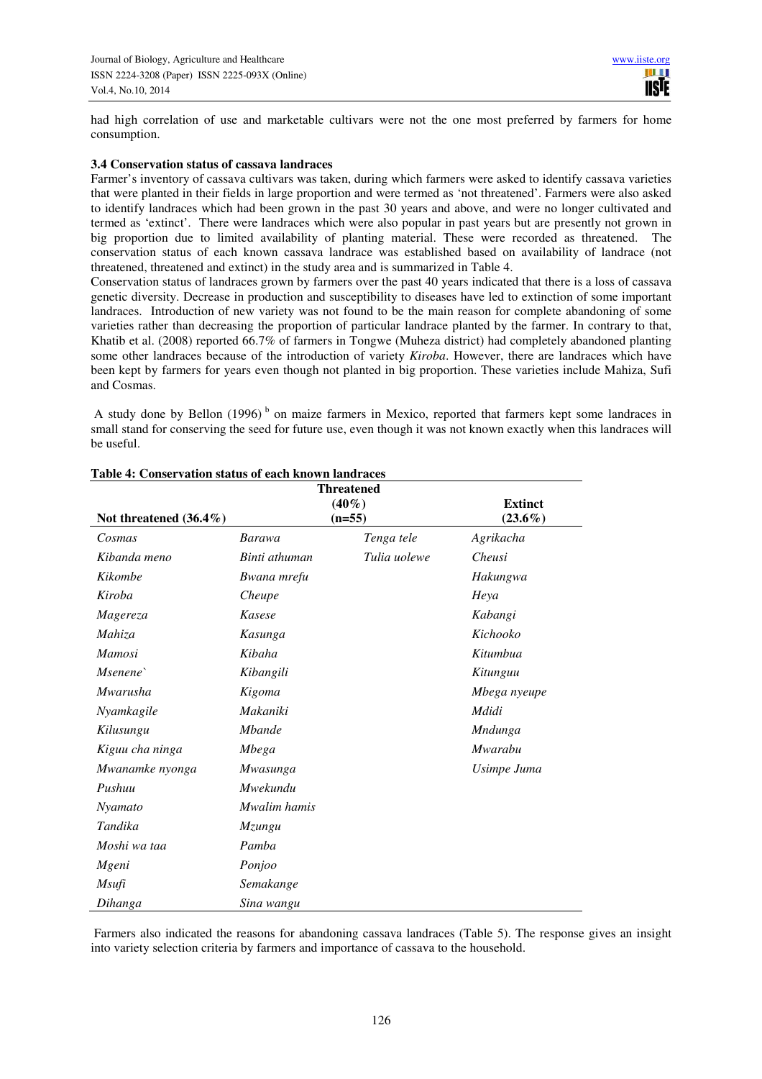had high correlation of use and marketable cultivars were not the one most preferred by farmers for home consumption.

#### **3.4 Conservation status of cassava landraces**

Farmer's inventory of cassava cultivars was taken, during which farmers were asked to identify cassava varieties that were planted in their fields in large proportion and were termed as 'not threatened'. Farmers were also asked to identify landraces which had been grown in the past 30 years and above, and were no longer cultivated and termed as 'extinct'. There were landraces which were also popular in past years but are presently not grown in big proportion due to limited availability of planting material. These were recorded as threatened. The conservation status of each known cassava landrace was established based on availability of landrace (not threatened, threatened and extinct) in the study area and is summarized in Table 4.

Conservation status of landraces grown by farmers over the past 40 years indicated that there is a loss of cassava genetic diversity. Decrease in production and susceptibility to diseases have led to extinction of some important landraces. Introduction of new variety was not found to be the main reason for complete abandoning of some varieties rather than decreasing the proportion of particular landrace planted by the farmer. In contrary to that, Khatib et al. (2008) reported 66.7% of farmers in Tongwe (Muheza district) had completely abandoned planting some other landraces because of the introduction of variety *Kiroba*. However, there are landraces which have been kept by farmers for years even though not planted in big proportion. These varieties include Mahiza, Sufi and Cosmas.

A study done by Bellon  $(1996)^b$  on maize farmers in Mexico, reported that farmers kept some landraces in small stand for conserving the seed for future use, even though it was not known exactly when this landraces will be useful.

| <b>Threatened</b><br>$(40\%)$<br><b>Extinct</b> |               |              |                |
|-------------------------------------------------|---------------|--------------|----------------|
| Not threatened $(36.4\%)$                       |               | $(n=55)$     | $(23.6\%)$     |
| Cosmas                                          | <b>Barawa</b> | Tenga tele   | Agrikacha      |
| Kibanda meno                                    | Binti athuman | Tulia uolewe | Cheusi         |
| Kikombe                                         | Bwana mrefu   |              | Hakungwa       |
| Kiroba                                          | Cheupe        |              | Heya           |
| Magereza                                        | Kasese        |              | Kabangi        |
| Mahiza                                          | Kasunga       |              | Kichooko       |
| <b>Mamosi</b>                                   | Kibaha        |              | Kitumbua       |
| Msenene                                         | Kibangili     |              | Kitunguu       |
| Mwarusha                                        | Kigoma        |              | Mbega nyeupe   |
| Nyamkagile                                      | Makaniki      |              | Mdidi          |
| Kilusungu                                       | <b>Mbande</b> |              | <b>Mndunga</b> |
| Kiguu cha ninga                                 | Mbega         |              | <b>Mwarabu</b> |
| Mwanamke nyonga                                 | Mwasunga      |              | Usimpe Juma    |
| Pushuu                                          | Mwekundu      |              |                |
| Nyamato                                         | Mwalim hamis  |              |                |
| Tandika                                         | Mzungu        |              |                |
| Moshi wa taa                                    | Pamba         |              |                |
| Mgeni                                           | Ponjoo        |              |                |
| Msufi                                           | Semakange     |              |                |
| Dihanga                                         | Sina wangu    |              |                |

#### **Table 4: Conservation status of each known landraces**

 Farmers also indicated the reasons for abandoning cassava landraces (Table 5). The response gives an insight into variety selection criteria by farmers and importance of cassava to the household.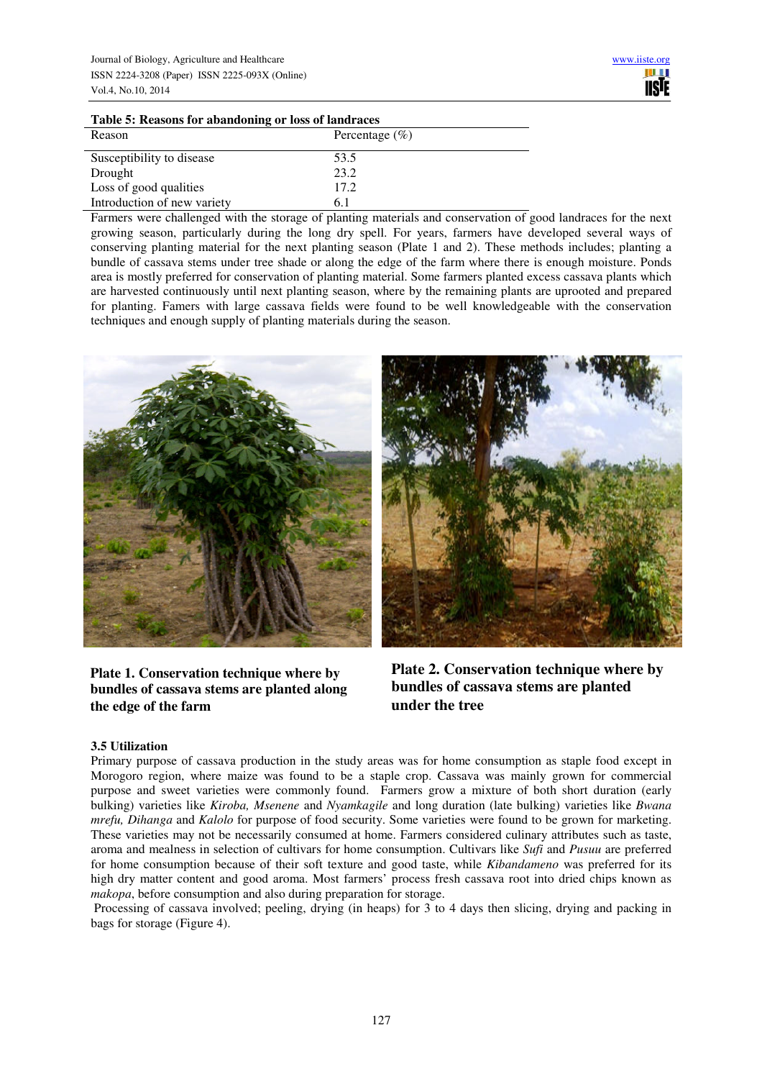#### **Table 5: Reasons for abandoning or loss of landraces**

| Reason                      | Percentage $(\% )$ |
|-----------------------------|--------------------|
| Susceptibility to disease   | 53.5               |
| Drought                     | 23.2               |
| Loss of good qualities      | 17.2               |
| Introduction of new variety | 6.1                |

Farmers were challenged with the storage of planting materials and conservation of good landraces for the next growing season, particularly during the long dry spell. For years, farmers have developed several ways of conserving planting material for the next planting season (Plate 1 and 2). These methods includes; planting a bundle of cassava stems under tree shade or along the edge of the farm where there is enough moisture. Ponds area is mostly preferred for conservation of planting material. Some farmers planted excess cassava plants which are harvested continuously until next planting season, where by the remaining plants are uprooted and prepared for planting. Famers with large cassava fields were found to be well knowledgeable with the conservation techniques and enough supply of planting materials during the season.



**Plate 1. Conservation technique where by bundles of cassava stems are planted along the edge of the farm**

**Plate 2. Conservation technique where by bundles of cassava stems are planted under the tree**

# **3.5 Utilization**

Primary purpose of cassava production in the study areas was for home consumption as staple food except in Morogoro region, where maize was found to be a staple crop. Cassava was mainly grown for commercial purpose and sweet varieties were commonly found. Farmers grow a mixture of both short duration (early bulking) varieties like *Kiroba, Msenene* and *Nyamkagile* and long duration (late bulking) varieties like *Bwana mrefu, Dihanga* and *Kalolo* for purpose of food security. Some varieties were found to be grown for marketing. These varieties may not be necessarily consumed at home. Farmers considered culinary attributes such as taste, aroma and mealness in selection of cultivars for home consumption. Cultivars like *Sufi* and *Pusuu* are preferred for home consumption because of their soft texture and good taste, while *Kibandameno* was preferred for its high dry matter content and good aroma. Most farmers' process fresh cassava root into dried chips known as *makopa*, before consumption and also during preparation for storage.

 Processing of cassava involved; peeling, drying (in heaps) for 3 to 4 days then slicing, drying and packing in bags for storage (Figure 4).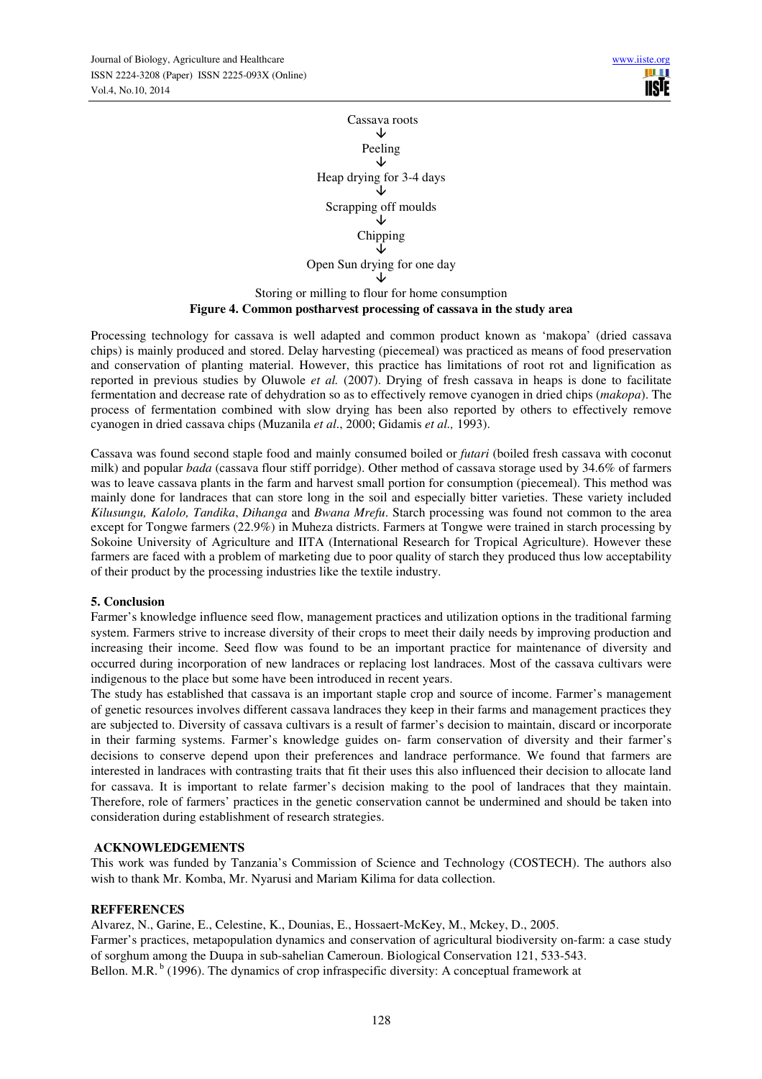Cassava roots ↓ Peeling Ψ Heap drying for 3-4 days ↓ Scrapping off moulds َ↓ Chipping ↓ Open Sun drying for one day  $\downarrow$ Storing or milling to flour for home consumption

# **Figure 4. Common postharvest processing of cassava in the study area**

Processing technology for cassava is well adapted and common product known as 'makopa' (dried cassava chips) is mainly produced and stored. Delay harvesting (piecemeal) was practiced as means of food preservation and conservation of planting material. However, this practice has limitations of root rot and lignification as reported in previous studies by Oluwole *et al.* (2007). Drying of fresh cassava in heaps is done to facilitate fermentation and decrease rate of dehydration so as to effectively remove cyanogen in dried chips (*makopa*). The process of fermentation combined with slow drying has been also reported by others to effectively remove cyanogen in dried cassava chips (Muzanila *et al*., 2000; Gidamis *et al.,* 1993).

Cassava was found second staple food and mainly consumed boiled or *futari* (boiled fresh cassava with coconut milk) and popular *bada* (cassava flour stiff porridge). Other method of cassava storage used by 34.6% of farmers was to leave cassava plants in the farm and harvest small portion for consumption (piecemeal). This method was mainly done for landraces that can store long in the soil and especially bitter varieties. These variety included *Kilusungu, Kalolo, Tandika*, *Dihanga* and *Bwana Mrefu*. Starch processing was found not common to the area except for Tongwe farmers (22.9%) in Muheza districts. Farmers at Tongwe were trained in starch processing by Sokoine University of Agriculture and IITA (International Research for Tropical Agriculture). However these farmers are faced with a problem of marketing due to poor quality of starch they produced thus low acceptability of their product by the processing industries like the textile industry.

# **5. Conclusion**

Farmer's knowledge influence seed flow, management practices and utilization options in the traditional farming system. Farmers strive to increase diversity of their crops to meet their daily needs by improving production and increasing their income. Seed flow was found to be an important practice for maintenance of diversity and occurred during incorporation of new landraces or replacing lost landraces. Most of the cassava cultivars were indigenous to the place but some have been introduced in recent years.

The study has established that cassava is an important staple crop and source of income. Farmer's management of genetic resources involves different cassava landraces they keep in their farms and management practices they are subjected to. Diversity of cassava cultivars is a result of farmer's decision to maintain, discard or incorporate in their farming systems. Farmer's knowledge guides on- farm conservation of diversity and their farmer's decisions to conserve depend upon their preferences and landrace performance. We found that farmers are interested in landraces with contrasting traits that fit their uses this also influenced their decision to allocate land for cassava. It is important to relate farmer's decision making to the pool of landraces that they maintain. Therefore, role of farmers' practices in the genetic conservation cannot be undermined and should be taken into consideration during establishment of research strategies.

# **ACKNOWLEDGEMENTS**

This work was funded by Tanzania's Commission of Science and Technology (COSTECH). The authors also wish to thank Mr. Komba, Mr. Nyarusi and Mariam Kilima for data collection.

# **REFFERENCES**

Alvarez, N., Garine, E., Celestine, K., Dounias, E., Hossaert-McKey, M., Mckey, D., 2005. Farmer's practices, metapopulation dynamics and conservation of agricultural biodiversity on-farm: a case study of sorghum among the Duupa in sub-sahelian Cameroun. Biological Conservation 121, 533-543. Bellon. M.R.<sup>b</sup> (1996). The dynamics of crop infraspecific diversity: A conceptual framework at